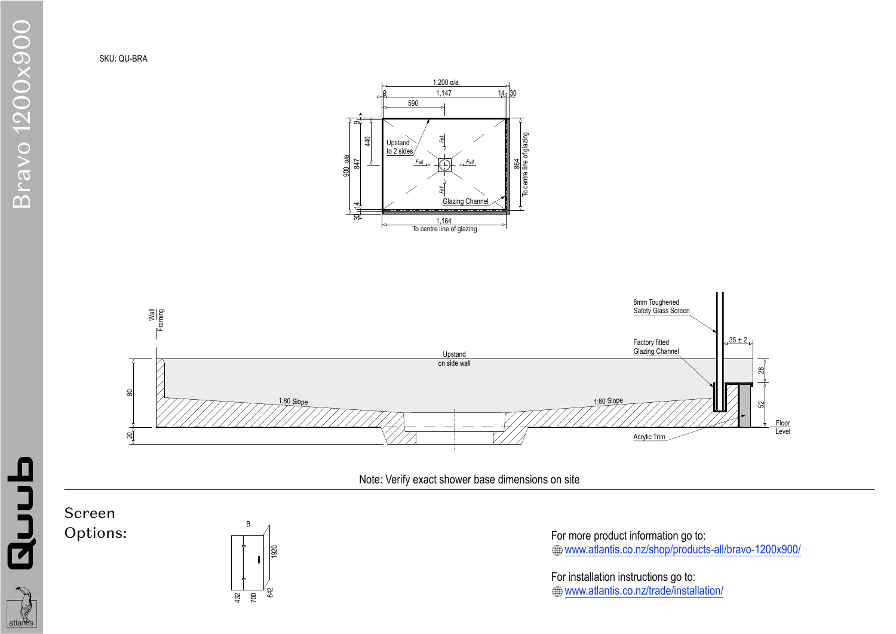Screen Options:







Note: Verify exact shower base dimensions on site

For more product information go to: www.atlantis.co.nz/shop/products-all/bravo-1200x900/

For installation instructions go to: www.atlantis.co.nz/trade/installation/

## SKU: QU-BRA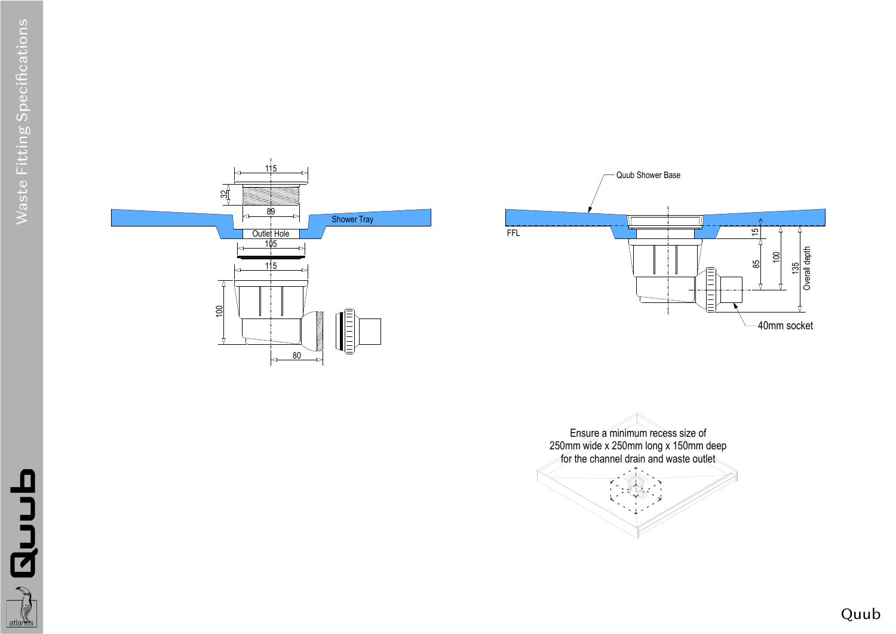

duub

atlants





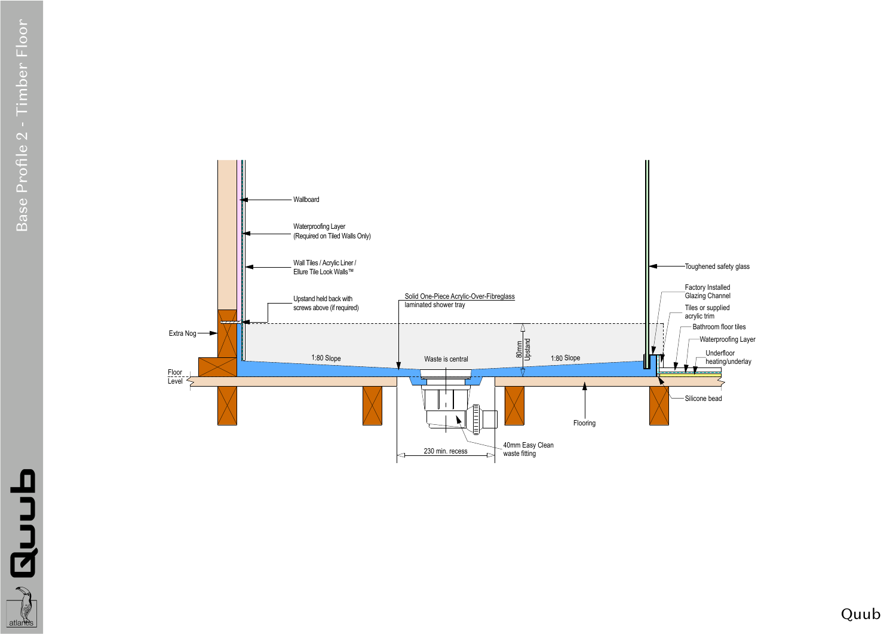



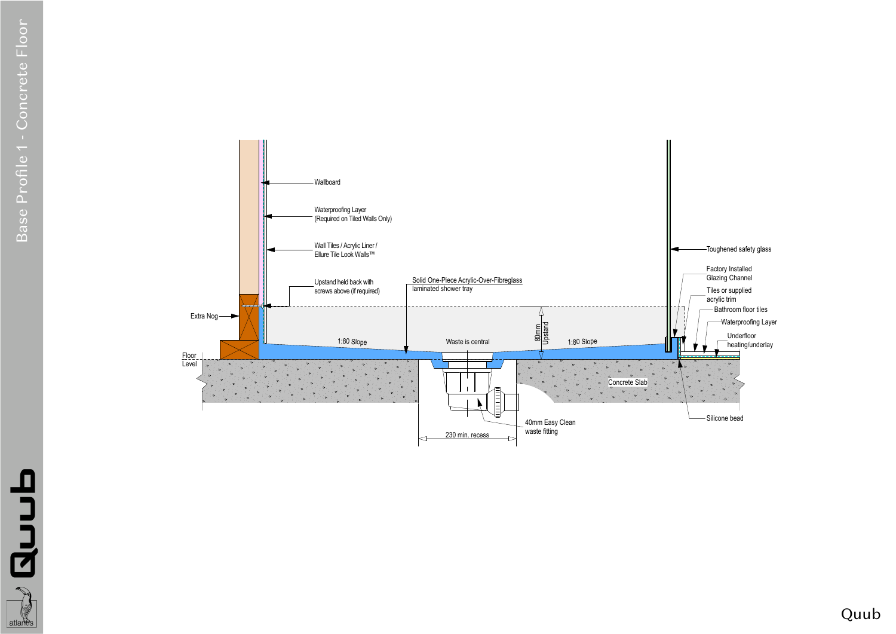## Quub